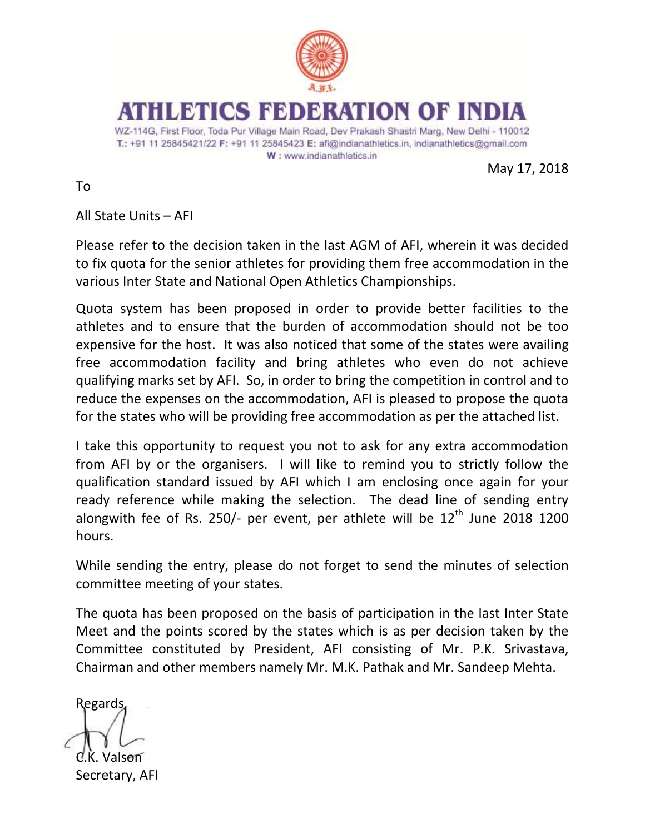

ETICS FEDERATION OF IN

WZ-114G, First Floor, Toda Pur Village Main Road, Dev Prakash Shastri Marg, New Delhi - 110012 T.: +91 11 25845421/22 F: +91 11 25845423 E: afi@indianathletics.in, indianathletics@gmail.com W: www.indianathletics.in

May 17, 2018

To

All State Units – AFI

Please refer to the decision taken in the last AGM of AFI, wherein it was decided to fix quota for the senior athletes for providing them free accommodation in the various Inter State and National Open Athletics Championships.

Quota system has been proposed in order to provide better facilities to the athletes and to ensure that the burden of accommodation should not be too expensive for the host. It was also noticed that some of the states were availing free accommodation facility and bring athletes who even do not achieve qualifying marks set by AFI. So, in order to bring the competition in control and to reduce the expenses on the accommodation, AFI is pleased to propose the quota for the states who will be providing free accommodation as per the attached list.

I take this opportunity to request you not to ask for any extra accommodation from AFI by or the organisers. I will like to remind you to strictly follow the qualification standard issued by AFI which I am enclosing once again for your ready reference while making the selection. The dead line of sending entry alongwith fee of Rs. 250/- per event, per athlete will be  $12<sup>th</sup>$  June 2018 1200 hours.

While sending the entry, please do not forget to send the minutes of selection committee meeting of your states.

The quota has been proposed on the basis of participation in the last Inter State Meet and the points scored by the states which is as per decision taken by the Committee constituted by President, AFI consisting of Mr. P.K. Srivastava, Chairman and other members namely Mr. M.K. Pathak and Mr. Sandeep Mehta.

Regards, Valson

Secretary, AFI